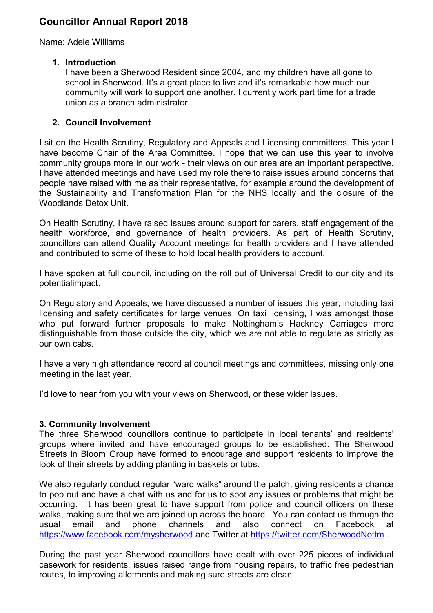# Councillor Annual Report 2018

Name: Adele Williams

## 1. Introduction

I have been a Sherwood Resident since 2004, and my children have all gone to school in Sherwood. It's a great place to live and it's remarkable how much our community will work to support one another. I currently work part time for a trade union as a branch administrator.

## 2. Council Involvement

I sit on the Health Scrutiny, Regulatory and Appeals and Licensing committees. This year I have become Chair of the Area Committee. I hope that we can use this year to involve community groups more in our work - their views on our area are an important perspective. I have attended meetings and have used my role there to raise issues around concerns that people have raised with me as their representative, for example around the development of the Sustainability and Transformation Plan for the NHS locally and the closure of the Woodlands Detox Unit.

On Health Scrutiny, I have raised issues around support for carers, staff engagement of the health workforce, and governance of health providers. As part of Health Scrutiny, councillors can attend Quality Account meetings for health providers and I have attended and contributed to some of these to hold local health providers to account.

I have spoken at full council, including on the roll out of Universal Credit to our city and its potentialimpact.

On Regulatory and Appeals, we have discussed a number of issues this year, including taxi licensing and safety certificates for large venues. On taxi licensing, I was amongst those who put forward further proposals to make Nottingham's Hackney Carriages more distinguishable from those outside the city, which we are not able to regulate as strictly as our own cabs.

I have a very high attendance record at council meetings and committees, missing only one meeting in the last year.

I'd love to hear from you with your views on Sherwood, or these wider issues.

#### 3. Community Involvement

The three Sherwood councillors continue to participate in local tenants' and residents' groups where invited and have encouraged groups to be established. The Sherwood Streets in Bloom Group have formed to encourage and support residents to improve the look of their streets by adding planting in baskets or tubs.

We also regularly conduct regular "ward walks" around the patch, giving residents a chance to pop out and have a chat with us and for us to spot any issues or problems that might be occurring. It has been great to have support from police and council officers on these walks, making sure that we are joined up across the board. You can contact us through the usual email and phone channels and also connect on Facebook at https://www.facebook.com/mysherwood and Twitter at https://twitter.com/SherwoodNottm .

During the past year Sherwood councillors have dealt with over 225 pieces of individual casework for residents, issues raised range from housing repairs, to traffic free pedestrian routes, to improving allotments and making sure streets are clean.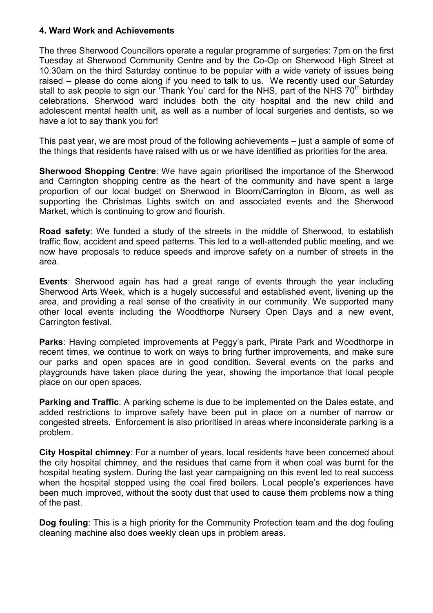#### 4. Ward Work and Achievements

The three Sherwood Councillors operate a regular programme of surgeries: 7pm on the first Tuesday at Sherwood Community Centre and by the Co-Op on Sherwood High Street at 10.30am on the third Saturday continue to be popular with a wide variety of issues being raised – please do come along if you need to talk to us. We recently used our Saturday stall to ask people to sign our 'Thank You' card for the NHS, part of the NHS  $70<sup>th</sup>$  birthday celebrations. Sherwood ward includes both the city hospital and the new child and adolescent mental health unit, as well as a number of local surgeries and dentists, so we have a lot to say thank you for!

This past year, we are most proud of the following achievements – just a sample of some of the things that residents have raised with us or we have identified as priorities for the area.

Sherwood Shopping Centre: We have again prioritised the importance of the Sherwood and Carrington shopping centre as the heart of the community and have spent a large proportion of our local budget on Sherwood in Bloom/Carrington in Bloom, as well as supporting the Christmas Lights switch on and associated events and the Sherwood Market, which is continuing to grow and flourish.

Road safety: We funded a study of the streets in the middle of Sherwood, to establish traffic flow, accident and speed patterns. This led to a well-attended public meeting, and we now have proposals to reduce speeds and improve safety on a number of streets in the area.

Events: Sherwood again has had a great range of events through the year including Sherwood Arts Week, which is a hugely successful and established event, livening up the area, and providing a real sense of the creativity in our community. We supported many other local events including the Woodthorpe Nursery Open Days and a new event, Carrington festival.

Parks: Having completed improvements at Peggy's park, Pirate Park and Woodthorpe in recent times, we continue to work on ways to bring further improvements, and make sure our parks and open spaces are in good condition. Several events on the parks and playgrounds have taken place during the year, showing the importance that local people place on our open spaces.

Parking and Traffic: A parking scheme is due to be implemented on the Dales estate, and added restrictions to improve safety have been put in place on a number of narrow or congested streets. Enforcement is also prioritised in areas where inconsiderate parking is a problem.

City Hospital chimney: For a number of years, local residents have been concerned about the city hospital chimney, and the residues that came from it when coal was burnt for the hospital heating system. During the last year campaigning on this event led to real success when the hospital stopped using the coal fired boilers. Local people's experiences have been much improved, without the sooty dust that used to cause them problems now a thing of the past.

Dog fouling: This is a high priority for the Community Protection team and the dog fouling cleaning machine also does weekly clean ups in problem areas.